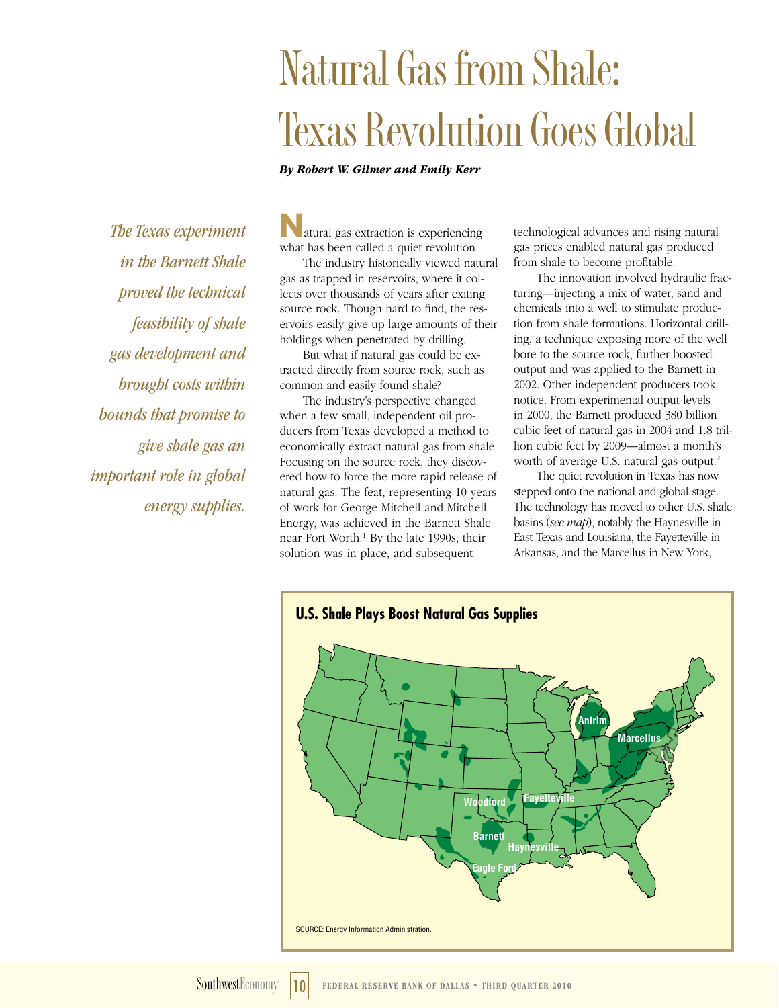# **Natural Gas from Shale: Texas Revolution Goes Global**

*By Robert W. Gilmer and Emily Kerr*

*The Texas experiment in the Barnett Shale proved the technical feasibility of shale gas development and brought costs within bounds that promise to give shale gas an important role in global energy supplies.*

**N**atural gas extraction is experiencing what has been called a quiet revolution.

The industry historically viewed natural gas as trapped in reservoirs, where it collects over thousands of years after exiting source rock. Though hard to find, the reservoirs easily give up large amounts of their holdings when penetrated by drilling.

But what if natural gas could be extracted directly from source rock, such as common and easily found shale?

The industry's perspective changed when a few small, independent oil producers from Texas developed a method to economically extract natural gas from shale. Focusing on the source rock, they discovered how to force the more rapid release of natural gas. The feat, representing 10 years of work for George Mitchell and Mitchell Energy, was achieved in the Barnett Shale near Fort Worth.<sup>1</sup> By the late 1990s, their solution was in place, and subsequent

technological advances and rising natural gas prices enabled natural gas produced from shale to become profitable.

The innovation involved hydraulic fracturing—injecting a mix of water, sand and chemicals into a well to stimulate production from shale formations. Horizontal drilling, a technique exposing more of the well bore to the source rock, further boosted output and was applied to the Barnett in 2002. Other independent producers took notice. From experimental output levels in 2000, the Barnett produced 380 billion cubic feet of natural gas in 2004 and 1.8 trillion cubic feet by 2009—almost a month's worth of average U.S. natural gas output.2

The quiet revolution in Texas has now stepped onto the national and global stage. The technology has moved to other U.S. shale basins (*see map*), notably the Haynesville in East Texas and Louisiana, the Fayetteville in Arkansas, and the Marcellus in New York,

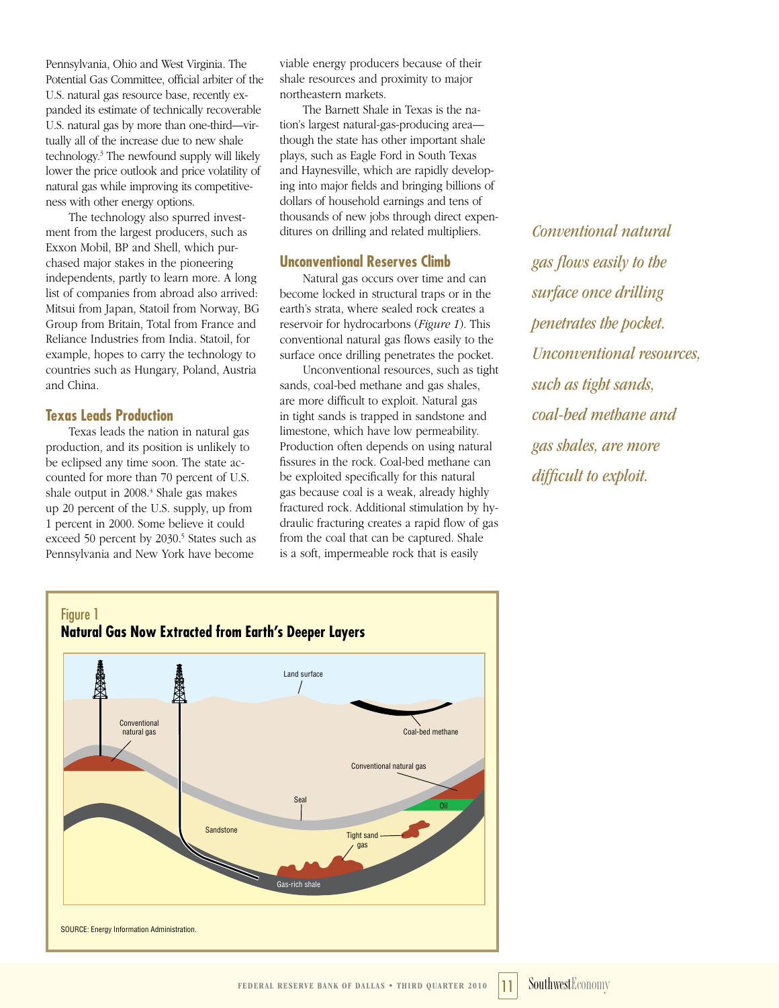Pennsylvania, Ohio and West Virginia. The Potential Gas Committee, official arbiter of the U.S. natural gas resource base, recently expanded its estimate of technically recoverable U.S. natural gas by more than one-third—virtually all of the increase due to new shale technology.3 The newfound supply will likely lower the price outlook and price volatility of natural gas while improving its competitiveness with other energy options.

The technology also spurred investment from the largest producers, such as Exxon Mobil, BP and Shell, which purchased major stakes in the pioneering independents, partly to learn more. A long list of companies from abroad also arrived: Mitsui from Japan, Statoil from Norway, BG Group from Britain, Total from France and Reliance Industries from India. Statoil, for example, hopes to carry the technology to countries such as Hungary, Poland, Austria and China.

# **Texas Leads Production**

Texas leads the nation in natural gas production, and its position is unlikely to be eclipsed any time soon. The state accounted for more than 70 percent of U.S. shale output in 2008.<sup>4</sup> Shale gas makes up 20 percent of the U.S. supply, up from 1 percent in 2000. Some believe it could exceed 50 percent by 2030.<sup>5</sup> States such as Pennsylvania and New York have become

viable energy producers because of their shale resources and proximity to major northeastern markets.

The Barnett Shale in Texas is the nation's largest natural-gas-producing area though the state has other important shale plays, such as Eagle Ford in South Texas and Haynesville, which are rapidly developing into major fields and bringing billions of dollars of household earnings and tens of thousands of new jobs through direct expenditures on drilling and related multipliers.

### **Unconventional Reserves Climb**

Natural gas occurs over time and can become locked in structural traps or in the earth's strata, where sealed rock creates a reservoir for hydrocarbons (*Figure 1*). This conventional natural gas flows easily to the surface once drilling penetrates the pocket.

Unconventional resources, such as tight sands, coal-bed methane and gas shales, are more difficult to exploit. Natural gas in tight sands is trapped in sandstone and limestone, which have low permeability. Production often depends on using natural fissures in the rock. Coal-bed methane can be exploited specifically for this natural gas because coal is a weak, already highly fractured rock. Additional stimulation by hydraulic fracturing creates a rapid flow of gas from the coal that can be captured. Shale is a soft, impermeable rock that is easily

*Conventional natural gas flows easily to the surface once drilling penetrates the pocket. Unconventional resources, such as tight sands, coal-bed methane and gas shales, are more difficult to exploit.*

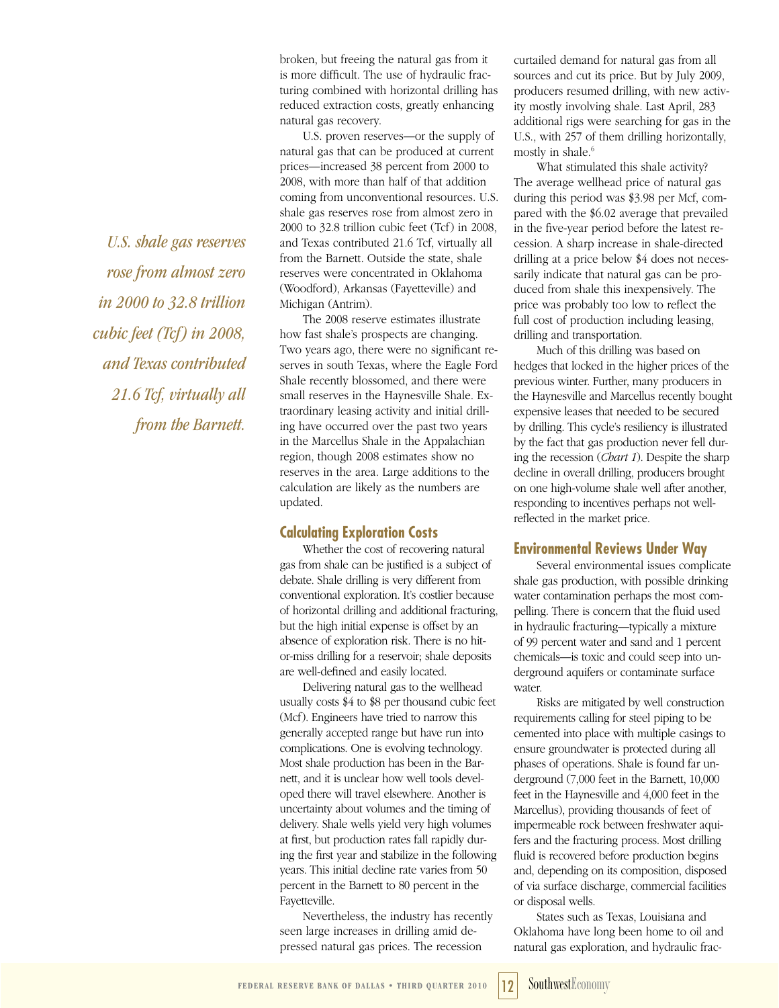*U.S. shale gas reserves rose from almost zero in 2000 to 32.8 trillion cubic feet (Tcf) in 2008, and Texas contributed 21.6 Tcf, virtually all from the Barnett.*

broken, but freeing the natural gas from it is more difficult. The use of hydraulic fracturing combined with horizontal drilling has reduced extraction costs, greatly enhancing natural gas recovery.

U.S. proven reserves—or the supply of natural gas that can be produced at current prices—increased 38 percent from 2000 to 2008, with more than half of that addition coming from unconventional resources. U.S. shale gas reserves rose from almost zero in 2000 to 32.8 trillion cubic feet (Tcf) in 2008, and Texas contributed 21.6 Tcf, virtually all from the Barnett. Outside the state, shale reserves were concentrated in Oklahoma (Woodford), Arkansas (Fayetteville) and Michigan (Antrim).

The 2008 reserve estimates illustrate how fast shale's prospects are changing. Two years ago, there were no significant reserves in south Texas, where the Eagle Ford Shale recently blossomed, and there were small reserves in the Haynesville Shale. Extraordinary leasing activity and initial drilling have occurred over the past two years in the Marcellus Shale in the Appalachian region, though 2008 estimates show no reserves in the area. Large additions to the calculation are likely as the numbers are updated.

#### **Calculating Exploration Costs**

Whether the cost of recovering natural gas from shale can be justified is a subject of debate. Shale drilling is very different from conventional exploration. It's costlier because of horizontal drilling and additional fracturing, but the high initial expense is offset by an absence of exploration risk. There is no hitor-miss drilling for a reservoir; shale deposits are well-defined and easily located.

Delivering natural gas to the wellhead usually costs \$4 to \$8 per thousand cubic feet (Mcf). Engineers have tried to narrow this generally accepted range but have run into complications. One is evolving technology. Most shale production has been in the Barnett, and it is unclear how well tools developed there will travel elsewhere. Another is uncertainty about volumes and the timing of delivery. Shale wells yield very high volumes at first, but production rates fall rapidly during the first year and stabilize in the following years. This initial decline rate varies from 50 percent in the Barnett to 80 percent in the Fayetteville.

Nevertheless, the industry has recently seen large increases in drilling amid depressed natural gas prices. The recession

curtailed demand for natural gas from all sources and cut its price. But by July 2009, producers resumed drilling, with new activity mostly involving shale. Last April, 283 additional rigs were searching for gas in the U.S., with 257 of them drilling horizontally, mostly in shale.<sup>6</sup>

What stimulated this shale activity? The average wellhead price of natural gas during this period was \$3.98 per Mcf, compared with the \$6.02 average that prevailed in the five-year period before the latest recession. A sharp increase in shale-directed drilling at a price below \$4 does not necessarily indicate that natural gas can be produced from shale this inexpensively. The price was probably too low to reflect the full cost of production including leasing, drilling and transportation.

Much of this drilling was based on hedges that locked in the higher prices of the previous winter. Further, many producers in the Haynesville and Marcellus recently bought expensive leases that needed to be secured by drilling. This cycle's resiliency is illustrated by the fact that gas production never fell during the recession (*Chart 1*). Despite the sharp decline in overall drilling, producers brought on one high-volume shale well after another, responding to incentives perhaps not wellreflected in the market price.

#### **Environmental Reviews Under Way**

Several environmental issues complicate shale gas production, with possible drinking water contamination perhaps the most compelling. There is concern that the fluid used in hydraulic fracturing—typically a mixture of 99 percent water and sand and 1 percent chemicals—is toxic and could seep into underground aquifers or contaminate surface water.

Risks are mitigated by well construction requirements calling for steel piping to be cemented into place with multiple casings to ensure groundwater is protected during all phases of operations. Shale is found far underground (7,000 feet in the Barnett, 10,000 feet in the Haynesville and 4,000 feet in the Marcellus), providing thousands of feet of impermeable rock between freshwater aquifers and the fracturing process. Most drilling fluid is recovered before production begins and, depending on its composition, disposed of via surface discharge, commercial facilities or disposal wells.

States such as Texas, Louisiana and Oklahoma have long been home to oil and natural gas exploration, and hydraulic frac